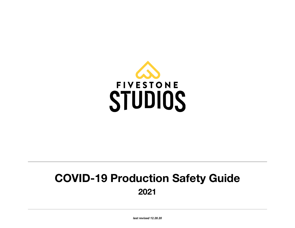

# **COVID-19 Production Safety Guide 2021**

*last revised 12.28.20*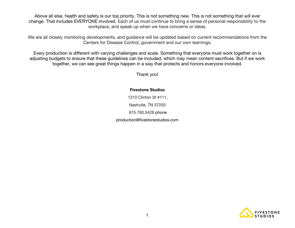Above all else, health and safety is our top priority. This is not something new. This is not something that will ever change. That includes EVERYONE involved. Each of us must continue to bring a sense of personal responsibility to the workplace, and speak up when we have concerns or ideas.

We are all closely monitoring developments, and guidance will be updated based on current recommendations from the Centers for Disease Control, government and our own learnings.

Every production is different with varying challenges and scale. Something that everyone must work together on is adjusting budgets to ensure that these guidelines can be included, which may mean content sacrifices. But if we work together, we can see great things happen in a way that protects and honors everyone involved.

Thank you!

**Fivestone Studios** 1310 Clinton St #111, Nashville, TN 37203 615.760.5428 phone production@fivestonestudios.com

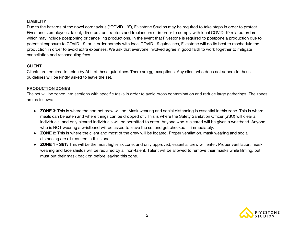# **LIABILITY**

Due to the hazards of the novel coronavirus ("COVID-19"), Fivestone Studios may be required to take steps in order to protect Fivestone's employees, talent, directors, contractors and freelancers or in order to comply with local COVID-19 related orders which may include postponing or cancelling productions. In the event that Fivestone is required to postpone a production due to potential exposure to COVID-19, or in order comply with local COVID-19 guidelines, Fivestone will do its best to reschedule the production in order to avoid extra expenses. We ask that everyone involved agree in good faith to work together to mitigate cancellation and rescheduling fees.

# **CLIENT**

Clients are required to abide by ALL of these guidelines. There are no exceptions. Any client who does not adhere to these guidelines will be kindly asked to leave the set.

### **PRODUCTION ZONES**

The set will be zoned into sections with specific tasks in order to avoid cross contamination and reduce large gatherings. The zones are as follows:

- **ZONE 3**: This is where the non-set crew will be. Mask wearing and social distancing is essential in this zone. This is where meals can be eaten and where things can be dropped off. This is where the Safety Sanitation Officer (SSO) will clear all individuals, and only cleared individuals will be permitted to enter. Anyone who is cleared will be given a wristband. Anyone who is NOT wearing a wristband will be asked to leave the set and get checked in immediately.
- **ZONE 2:** This is where the client and most of the crew will be located. Proper ventilation, mask wearing and social distancing are all required in this zone.
- **ZONE 1 - SET:** This will be the most high-risk zone, and only approved, essential crew will enter. Proper ventilation, mask wearing and face shields will be required by all non-talent. Talent will be allowed to remove their masks while filming, but must put their mask back on before leaving this zone.

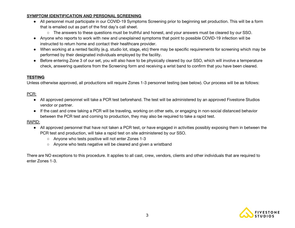## **SYMPTOM IDENTIFICATION AND PERSONAL SCREENING**

- All personnel must participate in our COVID-19 Symptoms Screening prior to beginning set production. This will be a form that is emailed out as part of the first day's call sheet.
	- The answers to these questions must be truthful and honest, and your answers must be cleared by our SSO.
- Anyone who reports to work with new and unexplained symptoms that point to possible COVID-19 infection will be instructed to return home and contact their healthcare provider.
- When working at a rented facility (e.g. studio lot, stage, etc) there may be specific requirements for screening which may be performed by their designated individuals employed by the facility.
- Before entering Zone 3 of our set, you will also have to be physically cleared by our SSO, which will involve a temperature check, answering questions from the Screening form and receiving a wrist band to confirm that you have been cleared.

## **TESTING**

Unless otherwise approved, all productions will require Zones 1-3 personnel testing (see below). Our process will be as follows:

# PCR:

- All approved personnel will take a PCR test beforehand. The test will be administered by an approved Fivestone Studios vendor or partner.
- If the cast and crew taking a PCR will be traveling, working on other sets, or engaging in non-social distanced behavior between the PCR test and coming to production, they may also be required to take a rapid test.

## RAPID:

- All approved personnel that have not taken a PCR test, or have engaged in activities possibly exposing them in between the PCR test and production, will take a rapid test on site administered by our SSO.
	- Anyone who tests positive will not enter Zones 1-3
	- Anyone who tests negative will be cleared and given a wristband

There are NO exceptions to this procedure. It applies to all cast, crew, vendors, clients and other individuals that are required to enter Zones 1-3.

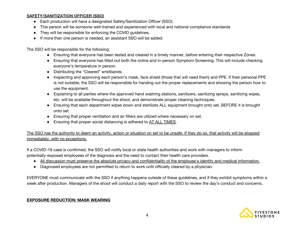## **SAFETY/SANITIZATION OFFICER (SSO)**

- Each production will have a designated Safety/Sanitization Officer (SSO).
- This person will be someone well-trained and experienced with local and national compliance standards
- They will be responsible for enforcing the COVID guidelines.
- If more than one person is needed, an assistant SSO will be added.

The SSO will be responsible for the following:

- Ensuring that everyone has been tested and cleared in a timely manner, before entering their respective Zones.
- Ensuring that everyone has filled out both the online and in-person Symptom Screening. This will include checking everyone's temperature in person.
- Distributing the "Cleared" wristbands.
- Inspecting and approving each person's mask, face shield (those that will need them) and PPE. If their personal PPE is not suitable, the SSO will be responsible for handing out the proper replacements and showing the person how to use the equipment.
- Explaining to all parties where the approved hand washing stations, sanitizers, sanitizing sprays, sanitizing wipes, etc. will be available throughout the shoot, and demonstrate proper cleaning techniques.
- Ensuring that each department wipes down and sterilizes ALL equipment brought onto set, BEFORE it is brought onto set.
- Ensuring that proper ventilation and air filters are utilized where necessary on set.
- Ensuring that proper social distancing is adhered to AT ALL TIMES.

The SSO has the authority to deem an activity, action or situation on set to be unsafe. If they do so, that activity will be stopped immediately, with no exceptions.

If a COVID-19 case is confirmed, the SSO will notify local or state health authorities and work with managers to inform potentially-exposed employees of the diagnosis and the need to contact their health care providers.

- All discussion must preserve the absolute privacy and confidentiality of the employee's identity and medical information.
- Diagnosed employees are not permitted to return to work until officially cleared by a physician.

EVERYONE must communicate with the SSO if anything happens outside of these guidelines, and if they exhibit symptoms within a week after production. Managers of the shoot will conduct a daily report with the SSO to review the day's conduct and concerns.

## **EXPOSURE REDUCTION: MASK WEARING**

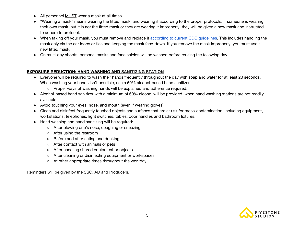- All personnel MUST wear a mask at all times
- "Wearing a mask" means wearing the fitted mask, and wearing it according to the proper protocols. If someone is wearing their own mask, but it is not the fitted mask or they are wearing it improperly, they will be given a new mask and instructed to adhere to protocol.
- When taking off your mask, you must remove and replace it according to current CDC [guidelines.](https://www.cdc.gov/coronavirus/2019-ncov/prevent-getting-sick/how-to-wear-cloth-face-coverings.html) This includes handling the mask only via the ear loops or ties and keeping the mask face-down. If you remove the mask improperly, you must use a new fitted mask.
- On multi-day shoots, personal masks and face shields will be washed before reusing the following day.

## **EXPOSURE REDUCTION: HAND WASHING AND SANITIZING STATION**

- Everyone will be required to wash their hands frequently throughout the day with soap and water for at least 20 seconds. When washing your hands isn't possible, use a 60% alcohol-based hand sanitizer.
	- Proper ways of washing hands will be explained and adherence required.
- Alcohol-based hand sanitizer with a minimum of 60% alcohol will be provided, when hand washing stations are not readily available
- Avoid touching your eyes, nose, and mouth (even if wearing gloves).
- Clean and disinfect frequently touched objects and surfaces that are at risk for cross-contamination, including equipment, workstations, telephones, light switches, tables, door handles and bathroom fixtures.
- Hand washing and hand sanitizing will be required:
	- After blowing one's nose, coughing or sneezing
	- After using the restroom
	- Before and after eating and drinking
	- After contact with animals or pets
	- After handling shared equipment or objects
	- After cleaning or disinfecting equipment or workspaces
	- At other appropriate times throughout the workday

Reminders will be given by the SSO, AD and Producers.

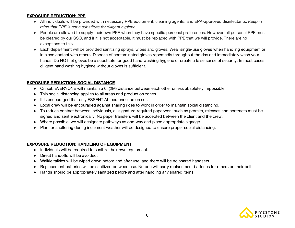#### **EXPOSURE REDUCTION: PPE**

- All individuals will be provided with necessary PPE equipment, cleaning agents, and EPA-approved disinfectants. *Keep in mind that PPE is not a substitute for diligent hygiene.*
- People are allowed to supply their own PPE when they have specific personal preferences. However, all personal PPE must be cleared by our SSO, and if it is not acceptable, it must be replaced with PPE that we will provide. There are no exceptions to this.
- Each department will be provided sanitizing sprays, wipes and gloves. Wear single-use gloves when handling equipment or in close contact with others. Dispose of contaminated gloves repeatedly throughout the day and immediately wash your hands. Do NOT let gloves be a substitute for good hand washing hygiene or create a false sense of security. In most cases, diligent hand washing hygiene without gloves is sufficient.

### **EXPOSURE REDUCTION: SOCIAL DISTANCE**

- On set, EVERYONE will maintain a 6' (2M) distance between each other unless absolutely impossible.
- This social distancing applies to all areas and production zones.
- It is encouraged that only ESSENTIAL personnel be on set.
- Local crew will be encouraged against sharing rides to work in order to maintain social distancing.
- To reduce contact between individuals, all signature-required paperwork such as permits, releases and contracts must be signed and sent electronically. No paper transfers will be accepted between the client and the crew.
- Where possible, we will designate pathways as one-way and place appropriate signage.
- Plan for sheltering during inclement weather will be designed to ensure proper social distancing.

### **EXPOSURE REDUCTION: HANDLING OF EQUIPMENT**

- Individuals will be required to sanitize their own equipment.
- Direct handoffs will be avoided.
- Walkie talkies will be wiped down before and after use, and there will be no shared handsets.
- Replacement batteries will be sanitized between use. No one will carry replacement batteries for others on their belt.
- Hands should be appropriately sanitized before and after handling any shared items.

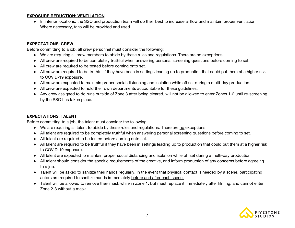### **EXPOSURE REDUCTION: VENTILATION**

● In interior locations, the SSO and production team will do their best to increase airflow and maintain proper ventilation. Where necessary, fans will be provided and used.

## **EXPECTATIONS: CREW**

Before committing to a job, all crew personnel must consider the following:

- We are requiring all crew members to abide by these rules and regulations. There are no exceptions.
- All crew are required to be completely truthful when answering personal screening questions before coming to set.
- All crew are required to be tested before coming onto set.
- All crew are required to be truthful if they have been in settings leading up to production that could put them at a higher risk to COVID-19 exposure.
- All crew are expected to maintain proper social distancing and isolation while off set during a multi-day production.
- All crew are expected to hold their own departments accountable for these guidelines.
- Any crew assigned to do runs outside of Zone 3 after being cleared, will not be allowed to enter Zones 1-2 until re-screening by the SSO has taken place.

### **EXPECTATIONS: TALENT**

Before committing to a job, the talent must consider the following:

- We are requiring all talent to abide by these rules and regulations. There are no exceptions.
- All talent are required to be completely truthful when answering personal screening questions before coming to set.
- All talent are required to be tested before coming onto set.
- All talent are required to be truthful if they have been in settings leading up to production that could put them at a higher risk to COVID-19 exposure.
- All talent are expected to maintain proper social distancing and isolation while off set during a multi-day production.
- All talent should consider the specific requirements of the creative, and inform production of any concerns before agreeing to a job.
- Talent will be asked to sanitize their hands regularly. In the event that physical contact is needed by a scene, participating actors are required to sanitize hands immediately before and after each scene.
- Talent will be allowed to remove their mask while in Zone 1, but must replace it immediately after filming, and cannot enter Zone 2-3 without a mask.

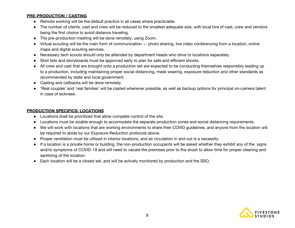## **PRE-PRODUCTION / CASTING**

- Remote working will be the default practice in all cases where practicable.
- The number of clients, cast and crew will be reduced to the smallest adequate size, with local hire of cast, crew and vendors being the first choice to avoid distance traveling.
- The pre-production meeting will be done remotely, using Zoom.
- Virtual scouting will be the main form of communication photo sharing, live video conferencing from a location, online maps and digital scouting services.
- Necessary tech scouts should only be attended by department heads who drive to locations separately.
- Shot lists and storyboards must be approved early to plan for safe and efficient shoots.
- All crew and cast that are brought onto a production set are expected to be conducting themselves responsibly leading up to a production, including maintaining proper social distancing, mask wearing, exposure reduction and other standards as recommended by state and local government.
- Casting and callbacks will be done remotely.
- 'Real couples' and 'real families' will be casted whenever possible, as well as backup options for principal on-camera talent in case of sickness.

### **PRODUCTION SPECIFICS: LOCATIONS**

- Locations shall be prioritized that allow complete control of the site.
- Locations must be sizable enough to accomodate the separate production zones and social distancing requirements.
- We will work with locations that are working environments to share their COVID guidelines, and anyone from the location will be required to abide by our Exposure Reduction protocols above.
- Proper ventilation must be utilized in interior locations, and air circulation in and out is a necessity.
- If a location is a private home or building, the non-production occupants will be asked whether they exhibit any of the signs and/or symptoms of COVID-19 and will need to vacate the premises prior to the shoot to allow time for proper cleaning and sanitizing of the location.
- Each location will be a closed set, and will be actively monitored by production and the SSO.

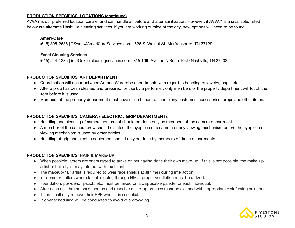## **PRODUCTION SPECIFICS: LOCATIONS (continued)**

AVVAY is our preferred location partner and can handle all before and after sanitization. However, if AVVAY is unavailable, listed below are alternate Nashville cleaning services. If you are working outside of the city, new options will need to be found.

#### **Ameri-Care**

(615) 395-2685 | TSwett@AmeriCareServices.com | 526 S. Walnut St. [Murfreesboro,](https://goo.gl/maps/miDzBNekndC2) TN 37129

#### **Excel Cleaning Services**

[\(615\)](https://www.excelcleaningservices.com/government-agencies) 544-1235 | info@excelcleaningservices.com | 315 10th Avenue N Suite 106D Nashville, TN 37203

### **PRODUCTION SPECIFICS: ART DEPARTMENT**

- Coordination will occur between Art and Wardrobe departments with regard to handling of jewelry, bags, etc.
- After a prop has been cleaned and prepared for use by a performer, only members of the property department will touch the item before it is used.
- Members of the property department must have clean hands to handle any costumes, accessories, props and other items.

#### **PRODUCTION SPECIFICS: CAMERA / ELECTRIC / GRIP DEPARTMENTs**

- Handling and cleaning of camera equipment should be done only by members of the camera department.
- A member of the camera crew should disinfect the eyepiece of a camera or any viewing mechanism before the eyepiece or viewing mechanism is used by other parties.
- Handling of grip and electric equipment should only be done by members of those departments.

### **PRODUCTION SPECIFICS: HAIR & MAKE-UP**

- When possible, actors are encouraged to arrive on set having done their own make-up. If this is not possible, the make-up artist or hair stylist may interact with the talent.
- The makeup/hair artist is required to wear face shields at all times during interaction.
- In rooms or trailers where talent is going through HMU, proper ventilation must be utilized.
- Foundation, powders, lipstick, etc. must be mixed on a disposable palette for each individual.
- After each use, hairbrushes, combs and reusable make-up brushes must be cleaned with appropriate disinfecting solutions.
- Talent shall only remove their PPE when it is essential.
- Proper scheduling will be conducted to avoid overcrowding.

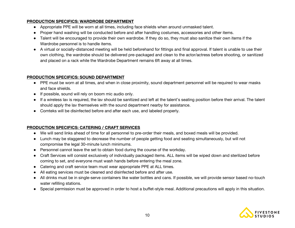## **PRODUCTION SPECIFICS: WARDROBE DEPARTMENT**

- Appropriate PPE will be worn at all times, including face shields when around unmasked talent.
- Proper hand washing will be conducted before and after handling costumes, accessories and other items.
- Talent will be encouraged to provide their own wardrobe. If they do so, they must also sanitize their own items if the Wardrobe personnel is to handle items.
- A virtual or socially-distanced meeting will be held beforehand for fittings and final approval. If talent is unable to use their own clothing, the wardrobe should be delivered pre-packaged and clean to the actor/actress before shooting, or sanitized and placed on a rack while the Wardrobe Department remains 6ft away at all times.

## **PRODUCTION SPECIFICS: SOUND DEPARTMENT**

- PPE must be worn at all times, and when in close proximity, sound department personnel will be required to wear masks and face shields.
- If possible, sound will rely on boom mic audio only.
- If a wireless lav is required, the lav should be sanitized and left at the talent's seating position before their arrival. The talent should apply the lav themselves with the sound department nearby for assistance.
- Comteks will be disinfected before and after each use, and labeled properly.

## **PRODUCTION SPECIFICS: CATERING / CRAFT SERVICES**

- We will send links ahead of time for all personnel to pre-order their meals, and boxed meals will be provided.
- Lunch may be staggered to decrease the number of people getting food and seating simultaneously, but will not compromise the legal 30-minute lunch minimums.
- Personnel cannot leave the set to obtain food during the course of the workday.
- Craft Services will consist exclusively of individually packaged items. ALL items will be wiped down and sterilized before coming to set, and everyone must wash hands before entering the meal zone.
- Catering and craft service team must wear appropriate PPE at ALL times.
- All eating services must be cleaned and disinfected before and after use.
- All drinks must be in single-serve containers like water bottles and cans. If possible, we will provide sensor based no-touch water refilling stations.
- Special permission must be approved in order to host a buffet-style meal. Additional precautions will apply in this situation.